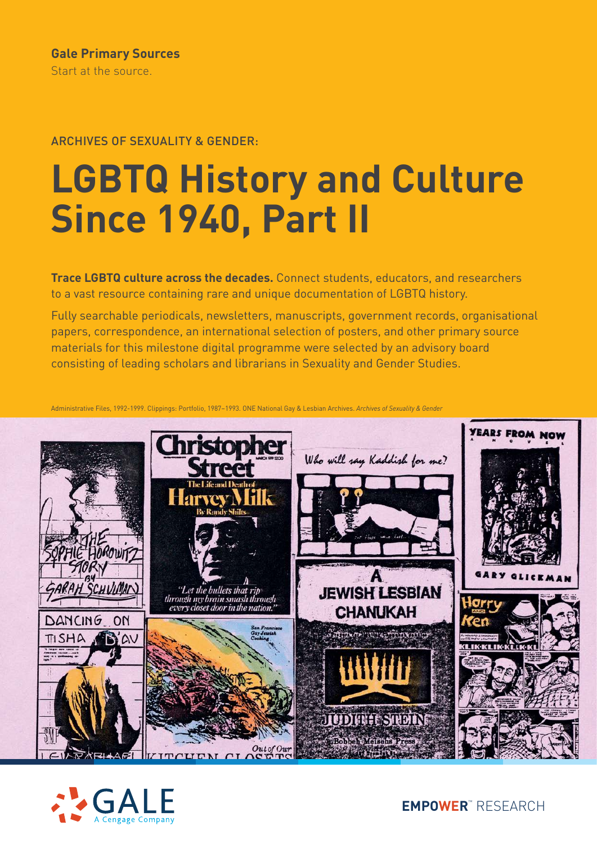## ARCHIVES OF SEXUALITY & GENDER:

# **LGBTQ History and Culture Since 1940, Part II**

**Trace LGBTQ culture across the decades.** Connect students, educators, and researchers to a vast resource containing rare and unique documentation of LGBTQ history.

Fully searchable periodicals, newsletters, manuscripts, government records, organisational papers, correspondence, an international selection of posters, and other primary source materials for this milestone digital programme were selected by an advisory board consisting of leading scholars and librarians in Sexuality and Gender Studies.

Administrative Files, 1992-1999. Clippings: Portfolio, 1987–1993. ONE National Gay & Lesbian Archives. *Archives of Sexuality & Gender*





**EMPOWER**™ RESEARCH